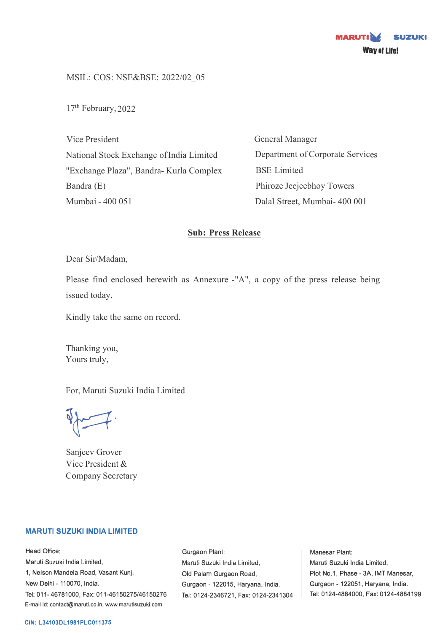MSIL: COS: NSE&BSE: 2022/02\_05

17<sup>th</sup> February, 2022

Vice President National Stock Exchange of India Limited "Exchange Plaza", Bandra- Kurla Complex Bandra (E) Mumbai - 400 051

General Manager Department of Corporate Services BSE Limited Phiroze Jeejeebhoy Towers Dalal Street, Mumbai- 400 001

# **Sub: Press Release**

Dear Sir/Madam,

Please find enclosed herewith as Annexure -"A", a copy of the press release being issued today.

Kindly take the same on record.

Thanking you, Yours truly,

For, Maruti Suzuki India Limited

 $\sqrt{2}$ 

Sanjeev Grover Vice President & Company Secretary

## **MARUTI SUZUKI INDIA LIMITED**

Head Office: Maruti Suzuki India Limited, 1, Nelson Mandela Road, Vasant Kunj, New Delhi - 110070, India. Tel: 011-46781000, Fax: 011-46150275/46150276 E-mail id: contact@maruti.co.in, www.marutisuzuki.com

Gurgaon Plant: Maruli Suzuki India Lirniled, Old Palam Gurgaon Road, Gurgaon - 122015, Haryana, India. Tel: 0124-2346721, Fax: 0124-2341304

Manesar Plant: Maruti Suzuki India Limited, Plot No.1, Phase - 3A, IMT Manesar, Gurgaon - 122051, Haryana, India. Tel: 0124-4884000, Fax: 0124-4884199

## **CIN: L34103DL1981PLC011375**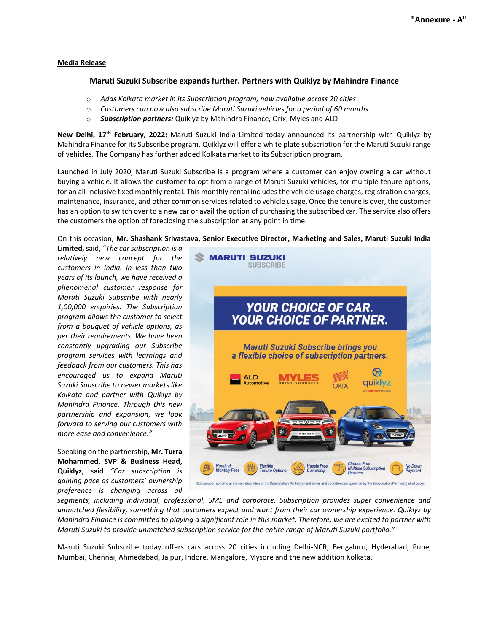#### **Media Release**

### **Maruti Suzuki Subscribe expands further. Partners with Quiklyz by Mahindra Finance**

- o *Adds Kolkata market in its Subscription program, now available across 20 cities*
- o *Customers can now also subscribe Maruti Suzuki vehicles for a period of 60 months*
- o *Subscription partners:* Quiklyz by Mahindra Finance, Orix, Myles and ALD

**New Delhi, 17 th February, 2022:** Maruti Suzuki India Limited today announced its partnership with Quiklyz by Mahindra Finance for its Subscribe program. Quiklyz will offer a white plate subscription for the Maruti Suzuki range of vehicles. The Company has further added Kolkata market to its Subscription program.

Launched in July 2020, Maruti Suzuki Subscribe is a program where a customer can enjoy owning a car without buying a vehicle. It allows the customer to opt from a range of Maruti Suzuki vehicles, for multiple tenure options, for an all-inclusive fixed monthly rental. This monthly rental includes the vehicle usage charges, registration charges, maintenance, insurance, and other common services related to vehicle usage. Once the tenure is over, the customer has an option to switch over to a new car or avail the option of purchasing the subscribed car. The service also offers the customers the option of foreclosing the subscription at any point in time.

On this occasion, **Mr. Shashank Srivastava, Senior Executive Director, Marketing and Sales, Maruti Suzuki India** 

**Limited,** said, *"The car subscription is a relatively new concept for the customers in India. In less than two years of its launch, we have received a phenomenal customer response for Maruti Suzuki Subscribe with nearly 1,00,000 enquiries. The Subscription program allows the customer to select from a bouquet of vehicle options, as per their requirements. We have been constantly upgrading our Subscribe program services with learnings and feedback from our customers. This has encouraged us to expand Maruti Suzuki Subscribe to newer markets like Kolkata and partner with Quiklyz by Mahindra Finance. Through this new partnership and expansion, we look forward to serving our customers with more ease and convenience."*

Speaking on the partnership, **Mr. Turra Mohammed, SVP & Business Head, Quiklyz,** said *"Car subscription is gaining pace as customers' ownership preference is changing across all* 



*segments, including individual, professional, SME and corporate. Subscription provides super convenience and unmatched flexibility, something that customers expect and want from their car ownership experience. Quiklyz by Mahindra Finance is committed to playing a significant role in this market. Therefore, we are excited to partner with Maruti Suzuki to provide unmatched subscription service for the entire range of Maruti Suzuki portfolio."*

Maruti Suzuki Subscribe today offers cars across 20 cities including Delhi-NCR, Bengaluru, Hyderabad, Pune, Mumbai, Chennai, Ahmedabad, Jaipur, Indore, Mangalore, Mysore and the new addition Kolkata.